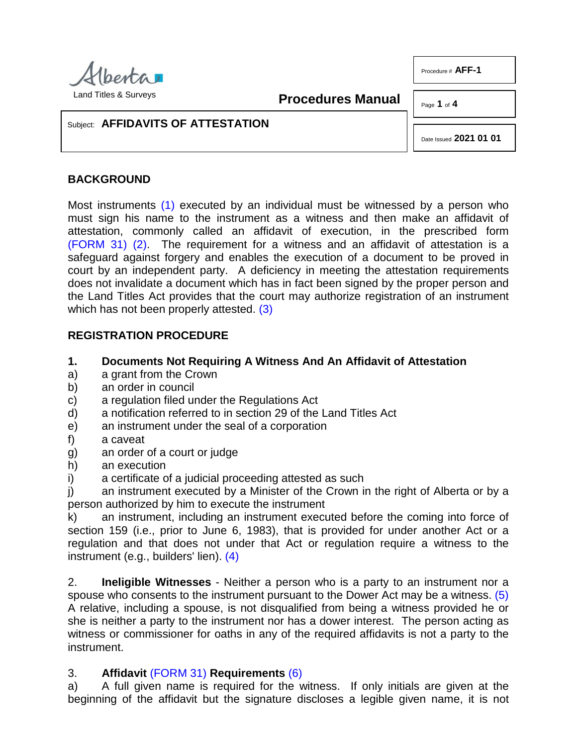

**Procedures Manual**

Page **1** of **4**

Procedure # **AFF-1**

## Subject: **AFFIDAVITS OF ATTESTATION**

Date Issued **2021 01 01**

# **BACKGROUND**

<span id="page-0-1"></span><span id="page-0-0"></span>Most instruments [\(1\)](#page-2-0) executed by an individual must be witnessed by a person who must sign his name to the instrument as a witness and then make an affidavit of attestation, commonly called an affidavit of execution, in the prescribed form [\(FORM 31\)](http://www.servicealberta.ca/pdf/ltmanual/FORM31.pdf) [\(2\).](#page-2-1) The requirement for a witness and an affidavit of attestation is a safeguard against forgery and enables the execution of a document to be proved in court by an independent party. A deficiency in meeting the attestation requirements does not invalidate a document which has in fact been signed by the proper person and the Land Titles Act provides that the court may authorize registration of an instrument which has not been properly attested. [\(3\)](#page-2-2)

## <span id="page-0-2"></span>**REGISTRATION PROCEDURE**

## **1. Documents Not Requiring A Witness And An Affidavit of Attestation**

- a) a grant from the Crown
- b) an order in council
- c) a regulation filed under the Regulations Act
- d) a notification referred to in section 29 of the Land Titles Act
- e) an instrument under the seal of a corporation
- f) a caveat
- g) an order of a court or judge
- h) an execution
- i) a certificate of a judicial proceeding attested as such

j) an instrument executed by a Minister of the Crown in the right of Alberta or by a person authorized by him to execute the instrument

k) an instrument, including an instrument executed before the coming into force of section 159 (i.e., prior to June 6, 1983), that is provided for under another Act or a regulation and that does not under that Act or regulation require a witness to the instrument (e.g., builders' lien). [\(4\)](#page-3-0)

<span id="page-0-4"></span><span id="page-0-3"></span>2. **Ineligible Witnesses** - Neither a person who is a party to an instrument nor a spouse who consents to the instrument pursuant to the Dower Act may be a witness. [\(5\)](#page-3-1) A relative, including a spouse, is not disqualified from being a witness provided he or she is neither a party to the instrument nor has a dower interest. The person acting as witness or commissioner for oaths in any of the required affidavits is not a party to the instrument.

## <span id="page-0-5"></span>3. **Affidavit** [\(FORM 31\)](http://www.servicealberta.ca/pdf/ltmanual/FORM31.pdf) **Requirements** [\(6\)](#page-3-2)

a) A full given name is required for the witness. If only initials are given at the beginning of the affidavit but the signature discloses a legible given name, it is not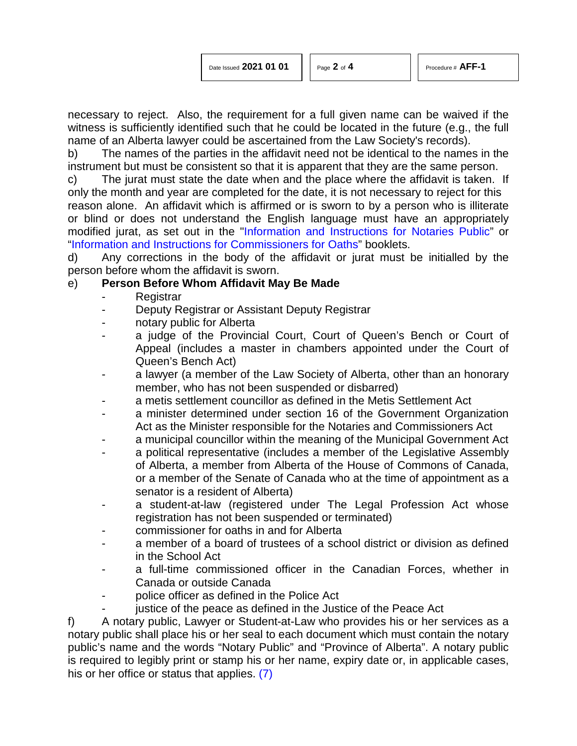necessary to reject. Also, the requirement for a full given name can be waived if the witness is sufficiently identified such that he could be located in the future (e.g., the full name of an Alberta lawyer could be ascertained from the Law Society's records).

b) The names of the parties in the affidavit need not be identical to the names in the instrument but must be consistent so that it is apparent that they are the same person.

c) The jurat must state the date when and the place where the affidavit is taken. If only the month and year are completed for the date, it is not necessary to reject for this reason alone. An affidavit which is affirmed or is sworn to by a person who is illiterate or blind or does not understand the English language must have an appropriately modified jurat, as set out in the ["Information and Instructions for Notaries Public"](https://open.alberta.ca/dataset?res_format=PDF&sort=score+desc&q=Information+and+Instructions+for+Notaries+Public) or ["Information and Instructions for Commissioners for Oaths"](https://open.alberta.ca/dataset?q=Information+and+Instructions+for+Commissioners+for+Oaths&sort=score+desc) booklets.

d) Any corrections in the body of the affidavit or jurat must be initialled by the person before whom the affidavit is sworn.

## e) **Person Before Whom Affidavit May Be Made**

- **Registrar**
- Deputy Registrar or Assistant Deputy Registrar
- notary public for Alberta
- a judge of the Provincial Court, Court of Queen's Bench or Court of Appeal (includes a master in chambers appointed under the Court of Queen's Bench Act)
- a lawyer (a member of the Law Society of Alberta, other than an honorary member, who has not been suspended or disbarred)
- a metis settlement councillor as defined in the Metis Settlement Act
- a minister determined under section 16 of the Government Organization Act as the Minister responsible for the Notaries and Commissioners Act
- a municipal councillor within the meaning of the Municipal Government Act
- a political representative (includes a member of the Legislative Assembly of Alberta, a member from Alberta of the House of Commons of Canada, or a member of the Senate of Canada who at the time of appointment as a senator is a resident of Alberta)
- a student-at-law (registered under The Legal Profession Act whose registration has not been suspended or terminated)
- commissioner for oaths in and for Alberta
- a member of a board of trustees of a school district or division as defined in the School Act
- a full-time commissioned officer in the Canadian Forces, whether in Canada or outside Canada
- police officer as defined in the Police Act
- <span id="page-1-0"></span>justice of the peace as defined in the Justice of the Peace Act

f) A notary public, Lawyer or Student-at-Law who provides his or her services as a notary public shall place his or her seal to each document which must contain the notary public's name and the words "Notary Public" and "Province of Alberta". A notary public is required to legibly print or stamp his or her name, expiry date or, in applicable cases, his or her office or status that applies. [\(7\)](#page-3-3)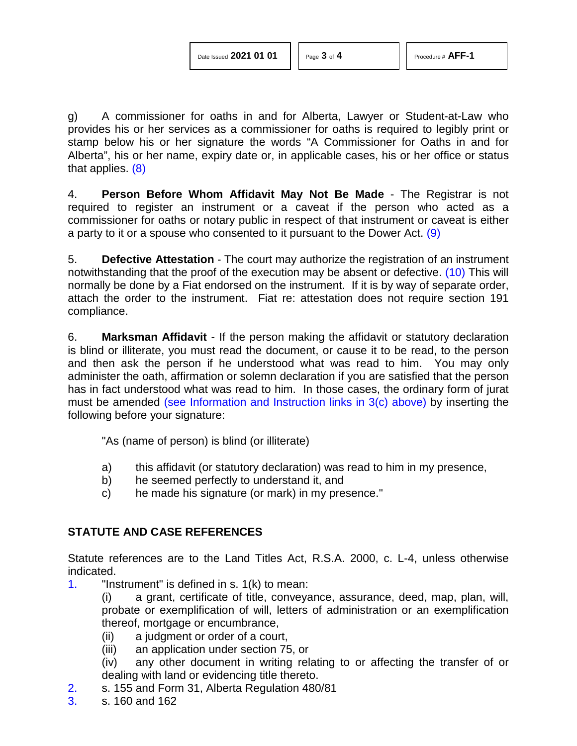g) A commissioner for oaths in and for Alberta, Lawyer or Student-at-Law who provides his or her services as a commissioner for oaths is required to legibly print or stamp below his or her signature the words "A Commissioner for Oaths in and for Alberta", his or her name, expiry date or, in applicable cases, his or her office or status that applies. [\(8\)](#page-3-4)

<span id="page-2-3"></span>4. **Person Before Whom Affidavit May Not Be Made** - The Registrar is not required to register an instrument or a caveat if the person who acted as a commissioner for oaths or notary public in respect of that instrument or caveat is either a party to it or a spouse who consented to it pursuant to the Dower Act. [\(9\)](#page-3-5)

<span id="page-2-5"></span><span id="page-2-4"></span>5. **Defective Attestation** - The court may authorize the registration of an instrument notwithstanding that the proof of the execution may be absent or defective. [\(10\)](#page-3-6) This will normally be done by a Fiat endorsed on the instrument. If it is by way of separate order, attach the order to the instrument. Fiat re: attestation does not require section 191 compliance.

6. **Marksman Affidavit** - If the person making the affidavit or statutory declaration is blind or illiterate, you must read the document, or cause it to be read, to the person and then ask the person if he understood what was read to him. You may only administer the oath, affirmation or solemn declaration if you are satisfied that the person has in fact understood what was read to him. In those cases, the ordinary form of jurat must be amended (see Information and Instruction links in 3(c) above) by inserting the following before your signature:

"As (name of person) is blind (or illiterate)

- a) this affidavit (or statutory declaration) was read to him in my presence,
- b) he seemed perfectly to understand it, and
- c) he made his signature (or mark) in my presence."

# **STATUTE AND CASE REFERENCES**

Statute references are to the Land Titles Act, R.S.A. 2000, c. L-4, unless otherwise indicated.

<span id="page-2-0"></span>[1.](#page-0-0) "Instrument" is defined in s. 1(k) to mean:

(i) a grant, certificate of title, conveyance, assurance, deed, map, plan, will, probate or exemplification of will, letters of administration or an exemplification thereof, mortgage or encumbrance,

- (ii) a judgment or order of a court,
- (iii) an application under section 75, or

(iv) any other document in writing relating to or affecting the transfer of or dealing with land or evidencing title thereto.

- <span id="page-2-1"></span>[2.](#page-0-1) s. 155 and Form 31, Alberta Regulation 480/81
- <span id="page-2-2"></span>[3.](#page-0-2) s. 160 and 162